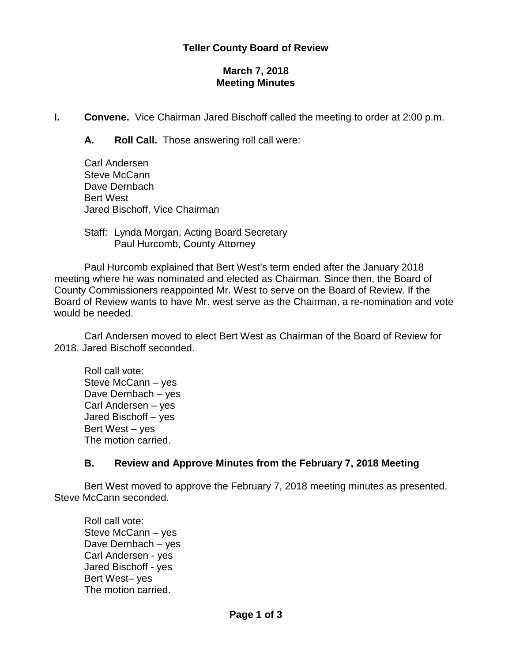### **Teller County Board of Review**

## **March 7, 2018 Meeting Minutes**

**I. Convene.** Vice Chairman Jared Bischoff called the meeting to order at 2:00 p.m.

**A. Roll Call.** Those answering roll call were:

Carl Andersen Steve McCann Dave Dernbach Bert West Jared Bischoff, Vice Chairman

Staff: Lynda Morgan, Acting Board Secretary Paul Hurcomb, County Attorney

Paul Hurcomb explained that Bert West's term ended after the January 2018 meeting where he was nominated and elected as Chairman. Since then, the Board of County Commissioners reappointed Mr. West to serve on the Board of Review. If the Board of Review wants to have Mr. west serve as the Chairman, a re-nomination and vote would be needed.

Carl Andersen moved to elect Bert West as Chairman of the Board of Review for 2018. Jared Bischoff seconded.

Roll call vote: Steve McCann – yes Dave Dernbach – yes Carl Andersen – yes Jared Bischoff – yes Bert West – yes The motion carried.

#### **B. Review and Approve Minutes from the February 7, 2018 Meeting**

Bert West moved to approve the February 7, 2018 meeting minutes as presented. Steve McCann seconded.

Roll call vote: Steve McCann – yes Dave Dernbach – yes Carl Andersen - yes Jared Bischoff - yes Bert West– yes The motion carried.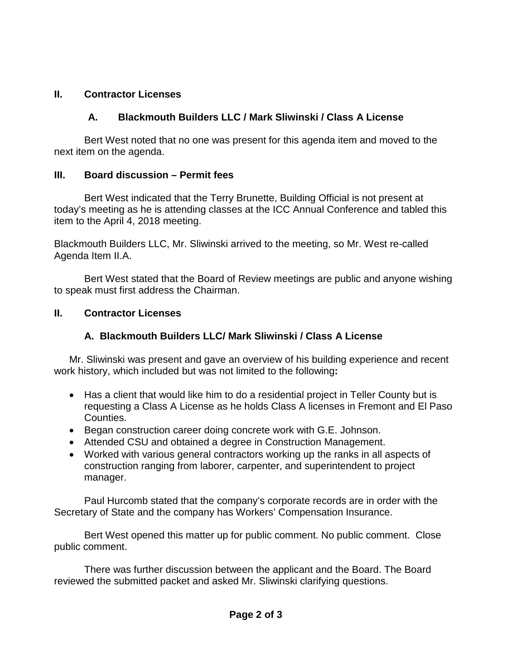# **II. Contractor Licenses**

# **A. Blackmouth Builders LLC / Mark Sliwinski / Class A License**

Bert West noted that no one was present for this agenda item and moved to the next item on the agenda.

## **III. Board discussion – Permit fees**

Bert West indicated that the Terry Brunette, Building Official is not present at today's meeting as he is attending classes at the ICC Annual Conference and tabled this item to the April 4, 2018 meeting.

Blackmouth Builders LLC, Mr. Sliwinski arrived to the meeting, so Mr. West re-called Agenda Item II.A.

Bert West stated that the Board of Review meetings are public and anyone wishing to speak must first address the Chairman.

## **II. Contractor Licenses**

# **A. Blackmouth Builders LLC/ Mark Sliwinski / Class A License**

Mr. Sliwinski was present and gave an overview of his building experience and recent work history, which included but was not limited to the following**:**

- Has a client that would like him to do a residential project in Teller County but is requesting a Class A License as he holds Class A licenses in Fremont and El Paso Counties.
- Began construction career doing concrete work with G.E. Johnson.
- Attended CSU and obtained a degree in Construction Management.
- Worked with various general contractors working up the ranks in all aspects of construction ranging from laborer, carpenter, and superintendent to project manager.

Paul Hurcomb stated that the company's corporate records are in order with the Secretary of State and the company has Workers' Compensation Insurance.

Bert West opened this matter up for public comment. No public comment. Close public comment.

There was further discussion between the applicant and the Board. The Board reviewed the submitted packet and asked Mr. Sliwinski clarifying questions.